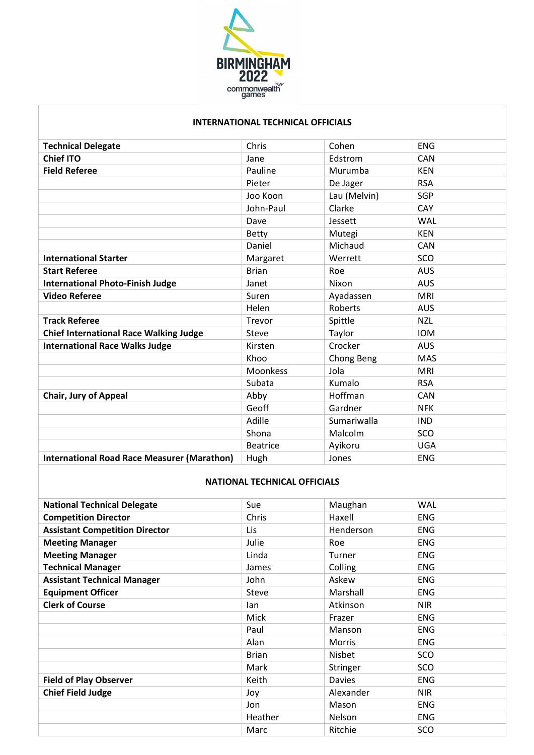

## **INTERNATIONAL TECHNICAL OFFICIALS**

| <b>Technical Delegate</b>                          | Chris           | Cohen        | <b>ENG</b> |
|----------------------------------------------------|-----------------|--------------|------------|
| <b>Chief ITO</b>                                   | Jane            | Edstrom      | <b>CAN</b> |
| <b>Field Referee</b>                               | Pauline         | Murumba      | <b>KEN</b> |
|                                                    | Pieter          | De Jager     | <b>RSA</b> |
|                                                    | Joo Koon        | Lau (Melvin) | <b>SGP</b> |
|                                                    | John-Paul       | Clarke       | CAY        |
|                                                    | Dave            | Jessett      | WAL        |
|                                                    | <b>Betty</b>    | Mutegi       | <b>KEN</b> |
|                                                    | Daniel          | Michaud      | <b>CAN</b> |
| <b>International Starter</b>                       | Margaret        | Werrett      | SCO        |
| <b>Start Referee</b>                               | <b>Brian</b>    | Roe          | <b>AUS</b> |
| <b>International Photo-Finish Judge</b>            | Janet           | Nixon        | <b>AUS</b> |
| <b>Video Referee</b>                               | Suren           | Ayadassen    | <b>MRI</b> |
|                                                    | Helen           | Roberts      | <b>AUS</b> |
| <b>Track Referee</b>                               | Trevor          | Spittle      | <b>NZL</b> |
| <b>Chief International Race Walking Judge</b>      | Steve           | Taylor       | <b>IOM</b> |
| <b>International Race Walks Judge</b>              | Kirsten         | Crocker      | <b>AUS</b> |
|                                                    | Khoo            | Chong Beng   | <b>MAS</b> |
|                                                    | <b>Moonkess</b> | Jola         | <b>MRI</b> |
|                                                    | Subata          | Kumalo       | <b>RSA</b> |
| <b>Chair, Jury of Appeal</b>                       | Abby            | Hoffman      | <b>CAN</b> |
|                                                    | Geoff           | Gardner      | <b>NFK</b> |
|                                                    | Adille          | Sumariwalla  | <b>IND</b> |
|                                                    | Shona           | Malcolm      | SCO        |
|                                                    | <b>Beatrice</b> | Ayikoru      | <b>UGA</b> |
| <b>International Road Race Measurer (Marathon)</b> | Hugh            | Jones        | <b>ENG</b> |

## **NATIONAL TECHNICAL OFFICIALS**

| <b>National Technical Delegate</b>    | Sue          | Maughan       | <b>WAL</b> |
|---------------------------------------|--------------|---------------|------------|
| <b>Competition Director</b>           | Chris        | Haxell        | <b>ENG</b> |
| <b>Assistant Competition Director</b> | Lis          | Henderson     | <b>ENG</b> |
| <b>Meeting Manager</b>                | Julie        | Roe           | <b>ENG</b> |
| <b>Meeting Manager</b>                | Linda        | Turner        | <b>ENG</b> |
| <b>Technical Manager</b>              | James        | Colling       | <b>ENG</b> |
| <b>Assistant Technical Manager</b>    | John         | Askew         | <b>ENG</b> |
| <b>Equipment Officer</b>              | Steve        | Marshall      | <b>ENG</b> |
| <b>Clerk of Course</b>                | lan          | Atkinson      | <b>NIR</b> |
|                                       | Mick         | Frazer        | <b>ENG</b> |
|                                       | Paul         | Manson        | <b>ENG</b> |
|                                       | Alan         | <b>Morris</b> | <b>ENG</b> |
|                                       | <b>Brian</b> | Nisbet        | SCO        |
|                                       | Mark         | Stringer      | SCO        |
| <b>Field of Play Observer</b>         | Keith        | Davies        | <b>ENG</b> |
| <b>Chief Field Judge</b>              | Joy          | Alexander     | <b>NIR</b> |
|                                       | Jon          | Mason         | <b>ENG</b> |
|                                       | Heather      | Nelson        | <b>ENG</b> |
|                                       | Marc         | Ritchie       | SCO        |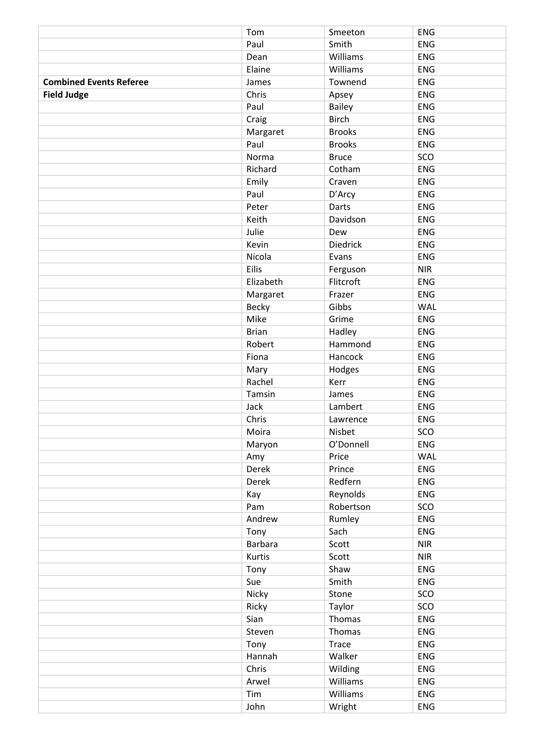|                                | Tom          | Smeeton         | <b>ENG</b> |
|--------------------------------|--------------|-----------------|------------|
|                                | Paul         | Smith           | <b>ENG</b> |
|                                | Dean         | Williams        | ENG        |
|                                | Elaine       | Williams        | <b>ENG</b> |
| <b>Combined Events Referee</b> | James        | Townend         | ENG        |
| <b>Field Judge</b>             | Chris        | Apsey           | ENG        |
|                                | Paul         | <b>Bailey</b>   | <b>ENG</b> |
|                                | Craig        | <b>Birch</b>    | ENG        |
|                                | Margaret     | <b>Brooks</b>   | <b>ENG</b> |
|                                | Paul         | <b>Brooks</b>   | ENG        |
|                                | Norma        | <b>Bruce</b>    | SCO        |
|                                | Richard      | Cotham          | <b>ENG</b> |
|                                | Emily        | Craven          | ENG        |
|                                | Paul         | D'Arcy          | ENG        |
|                                | Peter        | Darts           | <b>ENG</b> |
|                                | Keith        | Davidson        | ENG        |
|                                | Julie        | Dew             | ENG        |
|                                | Kevin        | <b>Diedrick</b> | <b>ENG</b> |
|                                | Nicola       | Evans           | ENG        |
|                                | Eilis        | Ferguson        | <b>NIR</b> |
|                                | Elizabeth    | Flitcroft       | <b>ENG</b> |
|                                | Margaret     | Frazer          | ENG        |
|                                | Becky        | Gibbs           | <b>WAL</b> |
|                                | Mike         | Grime           | <b>ENG</b> |
|                                | <b>Brian</b> | Hadley          | ENG        |
|                                | Robert       | Hammond         | <b>ENG</b> |
|                                | Fiona        | Hancock         | <b>ENG</b> |
|                                | Mary         | Hodges          | ENG        |
|                                | Rachel       | Kerr            | <b>ENG</b> |
|                                | Tamsin       | James           | ENG        |
|                                | Jack         | Lambert         | ENG        |
|                                | Chris        | Lawrence        | <b>ENG</b> |
|                                | Moira        | Nisbet          | SCO        |
|                                | Maryon       | O'Donnell       | <b>ENG</b> |
|                                | Amy          | Price           | WAL        |
|                                | Derek        | Prince          | <b>ENG</b> |
|                                | Derek        | Redfern         | ENG        |
|                                | Kay          | Reynolds        | ENG        |
|                                | Pam          | Robertson       | SCO        |
|                                | Andrew       | Rumley          | <b>ENG</b> |
|                                | Tony         | Sach            | ENG        |
|                                | Barbara      | Scott           | <b>NIR</b> |
|                                | Kurtis       | Scott           | <b>NIR</b> |
|                                | Tony         | Shaw            | ENG        |
|                                | Sue          | Smith           | ENG        |
|                                | Nicky        | Stone           | SCO        |
|                                | Ricky        | Taylor          | SCO        |
|                                | Sian         | Thomas          | <b>ENG</b> |
|                                | Steven       | Thomas          | <b>ENG</b> |
|                                | Tony         | <b>Trace</b>    | ENG        |
|                                | Hannah       | Walker          | ENG        |
|                                | Chris        | Wilding         | ENG        |
|                                | Arwel        | Williams        | ENG        |
|                                | Tim          | Williams        | ENG        |
|                                | John         | Wright          | ENG        |
|                                |              |                 |            |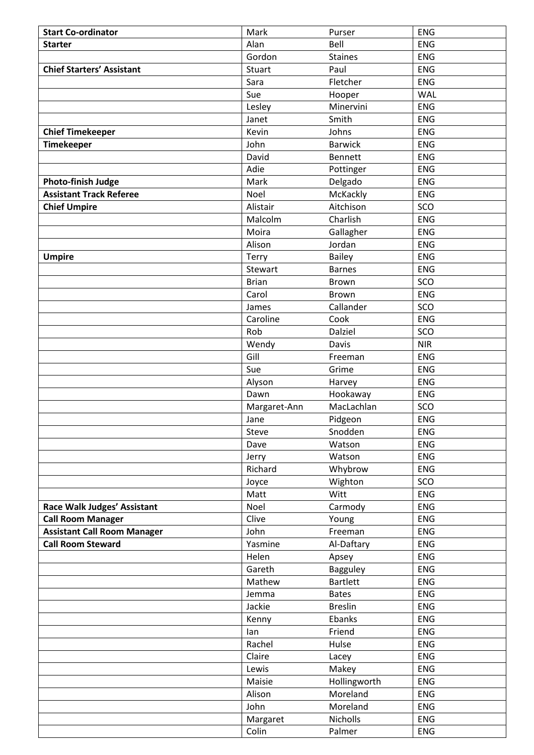| <b>Start Co-ordinator</b>          | Mark         | Purser                      | <b>ENG</b>        |
|------------------------------------|--------------|-----------------------------|-------------------|
| <b>Starter</b>                     | Alan         | Bell                        | <b>ENG</b>        |
|                                    | Gordon       | <b>Staines</b>              | <b>ENG</b>        |
| <b>Chief Starters' Assistant</b>   | Stuart       | Paul                        | <b>ENG</b>        |
|                                    | Sara         | Fletcher                    | <b>ENG</b>        |
|                                    | Sue          | Hooper                      | <b>WAL</b>        |
|                                    | Lesley       | Minervini                   | <b>ENG</b>        |
|                                    | Janet        | Smith                       | <b>ENG</b>        |
| <b>Chief Timekeeper</b>            | Kevin        | Johns                       | <b>ENG</b>        |
| <b>Timekeeper</b>                  | John         | <b>Barwick</b>              | <b>ENG</b>        |
|                                    | David        | <b>Bennett</b>              | <b>ENG</b>        |
|                                    | Adie         | Pottinger                   | <b>ENG</b>        |
| <b>Photo-finish Judge</b>          | Mark         | Delgado                     | <b>ENG</b>        |
| <b>Assistant Track Referee</b>     | Noel         | McKackly                    | <b>ENG</b>        |
| <b>Chief Umpire</b>                | Alistair     | Aitchison                   | SCO               |
|                                    | Malcolm      | Charlish                    | <b>ENG</b>        |
|                                    | Moira        | Gallagher                   | <b>ENG</b>        |
|                                    | Alison       | Jordan                      | <b>ENG</b>        |
| <b>Umpire</b>                      | Terry        | Bailey                      | <b>ENG</b>        |
|                                    | Stewart      | <b>Barnes</b>               | <b>ENG</b>        |
|                                    | <b>Brian</b> | Brown                       | SCO               |
|                                    | Carol        | <b>Brown</b>                | <b>ENG</b>        |
|                                    | James        | Callander                   | SCO               |
|                                    | Caroline     | Cook                        | <b>ENG</b>        |
|                                    | Rob          | Dalziel                     | SCO               |
|                                    | Wendy        | Davis                       | <b>NIR</b>        |
|                                    | Gill         | Freeman                     | <b>ENG</b>        |
|                                    | Sue          | Grime                       | <b>ENG</b>        |
|                                    | Alyson       | Harvey                      | <b>ENG</b>        |
|                                    | Dawn         | Hookaway                    | <b>ENG</b>        |
|                                    | Margaret-Ann | MacLachlan                  | SCO               |
|                                    | Jane         | Pidgeon                     | <b>ENG</b>        |
|                                    | Steve        | Snodden                     | ENG               |
|                                    | Dave         | Watson                      | ENG               |
|                                    | Jerry        | Watson                      | <b>ENG</b>        |
|                                    | Richard      | Whybrow                     | ENG               |
|                                    | Joyce        | Wighton                     | SCO               |
|                                    | Matt         | Witt                        | <b>ENG</b>        |
| Race Walk Judges' Assistant        | Noel         | Carmody                     | ENG               |
| <b>Call Room Manager</b>           | Clive        | Young                       | ENG               |
| <b>Assistant Call Room Manager</b> | John         | Freeman                     | <b>ENG</b>        |
| <b>Call Room Steward</b>           | Yasmine      | Al-Daftary                  | ENG               |
|                                    | Helen        | Apsey                       | ENG<br><b>ENG</b> |
|                                    | Gareth       | Bagguley<br><b>Bartlett</b> | <b>ENG</b>        |
|                                    | Mathew       | <b>Bates</b>                | ENG               |
|                                    | Jemma        | <b>Breslin</b>              | <b>ENG</b>        |
|                                    | Jackie       |                             |                   |
|                                    | Kenny<br>lan | Ebanks<br>Friend            | <b>ENG</b><br>ENG |
|                                    | Rachel       | Hulse                       | ENG               |
|                                    | Claire       | Lacey                       | <b>ENG</b>        |
|                                    | Lewis        | Makey                       | ENG               |
|                                    | Maisie       | Hollingworth                | <b>ENG</b>        |
|                                    | Alison       | Moreland                    | <b>ENG</b>        |
|                                    | John         | Moreland                    | ENG               |
|                                    | Margaret     | Nicholls                    | <b>ENG</b>        |
|                                    | Colin        | Palmer                      | <b>ENG</b>        |
|                                    |              |                             |                   |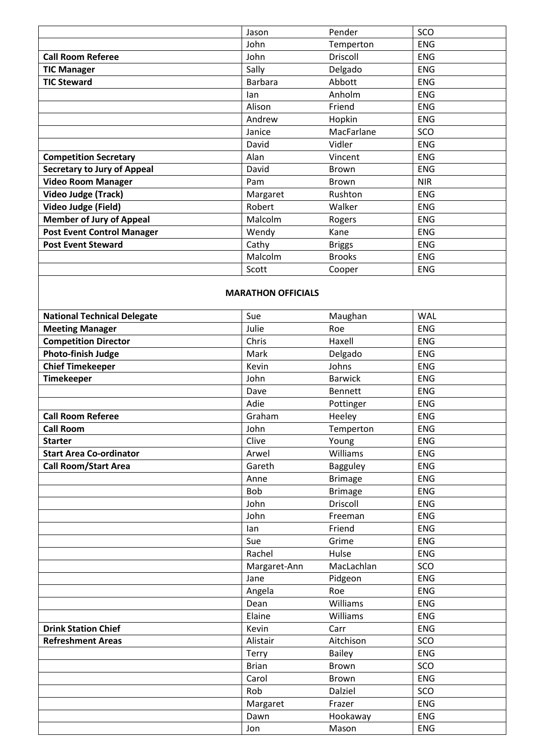|                                    | Jason          | Pender         | SCO        |  |
|------------------------------------|----------------|----------------|------------|--|
|                                    | John           | Temperton      | <b>ENG</b> |  |
| <b>Call Room Referee</b>           | John           | Driscoll       | <b>ENG</b> |  |
| <b>TIC Manager</b>                 | Sally          | Delgado        | <b>ENG</b> |  |
| <b>TIC Steward</b>                 | <b>Barbara</b> | Abbott         | <b>ENG</b> |  |
|                                    | lan            | Anholm         | <b>ENG</b> |  |
|                                    | Alison         | Friend         | <b>ENG</b> |  |
|                                    | Andrew         | Hopkin         | <b>ENG</b> |  |
|                                    | Janice         | MacFarlane     | SCO        |  |
|                                    | David          | Vidler         | <b>ENG</b> |  |
| <b>Competition Secretary</b>       | Alan           | Vincent        | <b>ENG</b> |  |
| <b>Secretary to Jury of Appeal</b> | David          | <b>Brown</b>   | <b>ENG</b> |  |
| <b>Video Room Manager</b>          | Pam            | <b>Brown</b>   | <b>NIR</b> |  |
| Video Judge (Track)                | Margaret       | Rushton        | <b>ENG</b> |  |
| Video Judge (Field)                | Robert         | Walker         | <b>ENG</b> |  |
| <b>Member of Jury of Appeal</b>    | Malcolm        | Rogers         | <b>ENG</b> |  |
| <b>Post Event Control Manager</b>  | Wendy          | Kane           | <b>ENG</b> |  |
| <b>Post Event Steward</b>          | Cathy          | <b>Briggs</b>  | <b>ENG</b> |  |
|                                    | Malcolm        | <b>Brooks</b>  | <b>ENG</b> |  |
|                                    | Scott          | Cooper         | <b>ENG</b> |  |
| <b>MARATHON OFFICIALS</b>          |                |                |            |  |
| <b>National Technical Delegate</b> | Sue            | Maughan        | <b>WAL</b> |  |
| <b>Meeting Manager</b>             | Julie          | Roe            | <b>ENG</b> |  |
| <b>Competition Director</b>        | Chris          | Haxell         | <b>ENG</b> |  |
| <b>Photo-finish Judge</b>          | Mark           | Delgado        | <b>ENG</b> |  |
| <b>Chief Timekeeper</b>            | Kevin          | Johns          | <b>ENG</b> |  |
| <b>Timekeeper</b>                  | John           | <b>Barwick</b> | <b>ENG</b> |  |
|                                    | Dave           | <b>Bennett</b> | <b>ENG</b> |  |
|                                    | Adie           | Pottinger      | <b>ENG</b> |  |
| <b>Call Room Referee</b>           | Graham         | Heeley         | <b>ENG</b> |  |
| <b>Call Room</b>                   | John           | Temperton      | <b>ENG</b> |  |
| <b>Starter</b>                     | Clive          | Young          | <b>ENG</b> |  |
| <b>Start Area Co-ordinator</b>     | Arwel          | Williams       | <b>ENG</b> |  |
| <b>Call Room/Start Area</b>        | Gareth         | Bagguley       | <b>ENG</b> |  |
|                                    | Anne           | <b>Brimage</b> | ENG        |  |
|                                    | Bob            | <b>Brimage</b> | <b>ENG</b> |  |
|                                    | John           | Driscoll       | <b>ENG</b> |  |
|                                    | John           | Freeman        | ENG        |  |

**Drink Station Chief Carr** ENG **Refreshment Areas Alistair** Alistair **Aitchison** SCO

Ian Friend ENG Sue Grime RIG Rachel Hulse | ENG Margaret-Ann MacLachlan SCO Jane Pidgeon ENG Angela Roe Roe Roe Dean Williams ENG Elaine Williams ENG

Terry Bailey Bailey ENG Brian Brown SCO Carol Brown ENG Rob Dalziel SCO Margaret Frazer ENG Dawn Hookaway ENG Jon Mason ENG